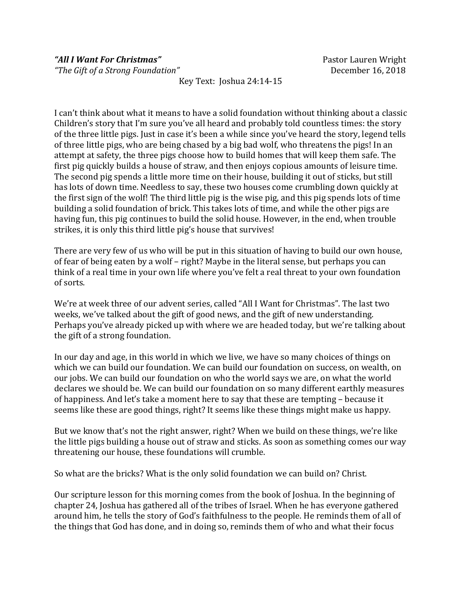*"The Gift of a Strong Foundation"* December 16, 2018

Key Text: Joshua 24:14-15

I can't think about what it means to have a solid foundation without thinking about a classic Children's story that I'm sure you've all heard and probably told countless times: the story of the three little pigs. Just in case it's been a while since you've heard the story, legend tells of three little pigs, who are being chased by a big bad wolf, who threatens the pigs! In an attempt at safety, the three pigs choose how to build homes that will keep them safe. The first pig quickly builds a house of straw, and then enjoys copious amounts of leisure time. The second pig spends a little more time on their house, building it out of sticks, but still has lots of down time. Needless to say, these two houses come crumbling down quickly at the first sign of the wolf! The third little pig is the wise pig, and this pig spends lots of time building a solid foundation of brick. This takes lots of time, and while the other pigs are having fun, this pig continues to build the solid house. However, in the end, when trouble strikes, it is only this third little pig's house that survives!

There are very few of us who will be put in this situation of having to build our own house, of fear of being eaten by a wolf – right? Maybe in the literal sense, but perhaps you can think of a real time in your own life where you've felt a real threat to your own foundation of sorts.

We're at week three of our advent series, called "All I Want for Christmas". The last two weeks, we've talked about the gift of good news, and the gift of new understanding. Perhaps you've already picked up with where we are headed today, but we're talking about the gift of a strong foundation.

In our day and age, in this world in which we live, we have so many choices of things on which we can build our foundation. We can build our foundation on success, on wealth, on our jobs. We can build our foundation on who the world says we are, on what the world declares we should be. We can build our foundation on so many different earthly measures of happiness. And let's take a moment here to say that these are tempting – because it seems like these are good things, right? It seems like these things might make us happy.

But we know that's not the right answer, right? When we build on these things, we're like the little pigs building a house out of straw and sticks. As soon as something comes our way threatening our house, these foundations will crumble.

So what are the bricks? What is the only solid foundation we can build on? Christ.

Our scripture lesson for this morning comes from the book of Joshua. In the beginning of chapter 24, Joshua has gathered all of the tribes of Israel. When he has everyone gathered around him, he tells the story of God's faithfulness to the people. He reminds them of all of the things that God has done, and in doing so, reminds them of who and what their focus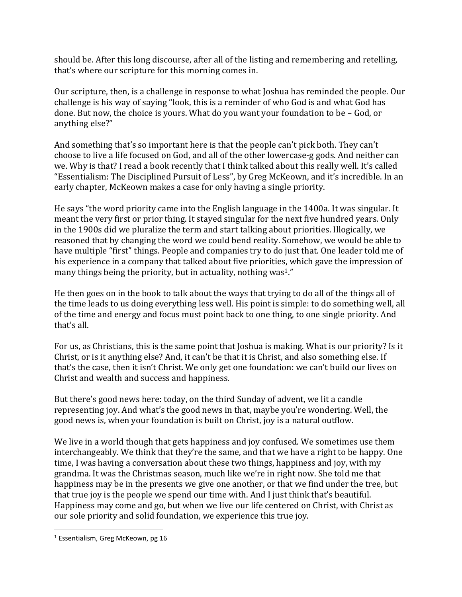should be. After this long discourse, after all of the listing and remembering and retelling, that's where our scripture for this morning comes in.

Our scripture, then, is a challenge in response to what Joshua has reminded the people. Our challenge is his way of saying "look, this is a reminder of who God is and what God has done. But now, the choice is yours. What do you want your foundation to be – God, or anything else?"

And something that's so important here is that the people can't pick both. They can't choose to live a life focused on God, and all of the other lowercase-g gods. And neither can we. Why is that? I read a book recently that I think talked about this really well. It's called "Essentialism: The Disciplined Pursuit of Less", by Greg McKeown, and it's incredible. In an early chapter, McKeown makes a case for only having a single priority.

He says "the word priority came into the English language in the 1400a. It was singular. It meant the very first or prior thing. It stayed singular for the next five hundred years. Only in the 1900s did we pluralize the term and start talking about priorities. Illogically, we reasoned that by changing the word we could bend reality. Somehow, we would be able to have multiple "first" things. People and companies try to do just that. One leader told me of his experience in a company that talked about five priorities, which gave the impression of many things being the priority, but in actuality, nothing was<sup>1</sup>."

He then goes on in the book to talk about the ways that trying to do all of the things all of the time leads to us doing everything less well. His point is simple: to do something well, all of the time and energy and focus must point back to one thing, to one single priority. And that's all.

For us, as Christians, this is the same point that Joshua is making. What is our priority? Is it Christ, or is it anything else? And, it can't be that it is Christ, and also something else. If that's the case, then it isn't Christ. We only get one foundation: we can't build our lives on Christ and wealth and success and happiness.

But there's good news here: today, on the third Sunday of advent, we lit a candle representing joy. And what's the good news in that, maybe you're wondering. Well, the good news is, when your foundation is built on Christ, joy is a natural outflow.

We live in a world though that gets happiness and joy confused. We sometimes use them interchangeably. We think that they're the same, and that we have a right to be happy. One time, I was having a conversation about these two things, happiness and joy, with my grandma. It was the Christmas season, much like we're in right now. She told me that happiness may be in the presents we give one another, or that we find under the tree, but that true joy is the people we spend our time with. And I just think that's beautiful. Happiness may come and go, but when we live our life centered on Christ, with Christ as our sole priority and solid foundation, we experience this true joy.

 $\overline{a}$ 

<sup>&</sup>lt;sup>1</sup> Essentialism, Greg McKeown, pg 16